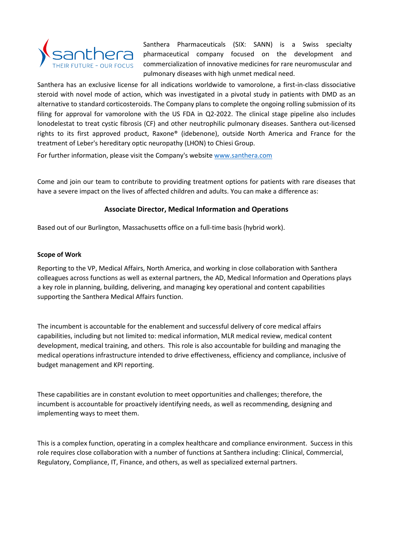

Santhera Pharmaceuticals (SIX: SANN) is a Swiss specialty pharmaceutical company focused on the development and commercialization of innovative medicines for rare neuromuscular and pulmonary diseases with high unmet medical need.

Santhera has an exclusive license for all indications worldwide to vamorolone, a first-in-class dissociative steroid with novel mode of action, which was investigated in a pivotal study in patients with DMD as an alternative to standard corticosteroids. The Company plans to complete the ongoing rolling submission of its filing for approval for vamorolone with the US FDA in Q2-2022. The clinical stage pipeline also includes lonodelestat to treat cystic fibrosis (CF) and other neutrophilic pulmonary diseases. Santhera out-licensed rights to its first approved product, Raxone® (idebenone), outside North America and France for the treatment of Leber's hereditary optic neuropathy (LHON) to Chiesi Group.

For further information, please visit the Company's website [www.santhera.com](http://www.santhera.com/)

Come and join our team to contribute to providing treatment options for patients with rare diseases that have a severe impact on the lives of affected children and adults. You can make a difference as:

# **Associate Director, Medical Information and Operations**

Based out of our Burlington, Massachusetts office on a full-time basis (hybrid work).

# **Scope of Work**

Reporting to the VP, Medical Affairs, North America, and working in close collaboration with Santhera colleagues across functions as well as external partners, the AD, Medical Information and Operations plays a key role in planning, building, delivering, and managing key operational and content capabilities supporting the Santhera Medical Affairs function.

The incumbent is accountable for the enablement and successful delivery of core medical affairs capabilities, including but not limited to: medical information, MLR medical review, medical content development, medical training, and others. This role is also accountable for building and managing the medical operations infrastructure intended to drive effectiveness, efficiency and compliance, inclusive of budget management and KPI reporting.

These capabilities are in constant evolution to meet opportunities and challenges; therefore, the incumbent is accountable for proactively identifying needs, as well as recommending, designing and implementing ways to meet them.

This is a complex function, operating in a complex healthcare and compliance environment. Success in this role requires close collaboration with a number of functions at Santhera including: Clinical, Commercial, Regulatory, Compliance, IT, Finance, and others, as well as specialized external partners.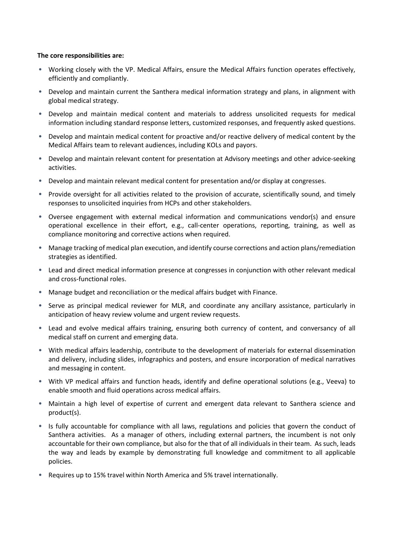#### **The core responsibilities are:**

- Working closely with the VP. Medical Affairs, ensure the Medical Affairs function operates effectively, efficiently and compliantly.
- Develop and maintain current the Santhera medical information strategy and plans, in alignment with global medical strategy.
- Develop and maintain medical content and materials to address unsolicited requests for medical information including standard response letters, customized responses, and frequently asked questions.
- Develop and maintain medical content for proactive and/or reactive delivery of medical content by the Medical Affairs team to relevant audiences, including KOLs and payors.
- Develop and maintain relevant content for presentation at Advisory meetings and other advice-seeking activities.
- Develop and maintain relevant medical content for presentation and/or display at congresses.
- Provide oversight for all activities related to the provision of accurate, scientifically sound, and timely responses to unsolicited inquiries from HCPs and other stakeholders.
- Oversee engagement with external medical information and communications vendor(s) and ensure operational excellence in their effort, e.g., call-center operations, reporting, training, as well as compliance monitoring and corrective actions when required.
- Manage tracking of medical plan execution, and identify course corrections and action plans/remediation strategies as identified.
- Lead and direct medical information presence at congresses in conjunction with other relevant medical and cross-functional roles.
- Manage budget and reconciliation or the medical affairs budget with Finance.
- Serve as principal medical reviewer for MLR, and coordinate any ancillary assistance, particularly in anticipation of heavy review volume and urgent review requests.
- Lead and evolve medical affairs training, ensuring both currency of content, and conversancy of all medical staff on current and emerging data.
- With medical affairs leadership, contribute to the development of materials for external dissemination and delivery, including slides, infographics and posters, and ensure incorporation of medical narratives and messaging in content.
- With VP medical affairs and function heads, identify and define operational solutions (e.g., Veeva) to enable smooth and fluid operations across medical affairs.
- Maintain a high level of expertise of current and emergent data relevant to Santhera science and product(s).
- Is fully accountable for compliance with all laws, regulations and policies that govern the conduct of Santhera activities. As a manager of others, including external partners, the incumbent is not only accountable for their own compliance, but also for the that of all individuals in their team. As such, leads the way and leads by example by demonstrating full knowledge and commitment to all applicable policies.
- Requires up to 15% travel within North America and 5% travel internationally.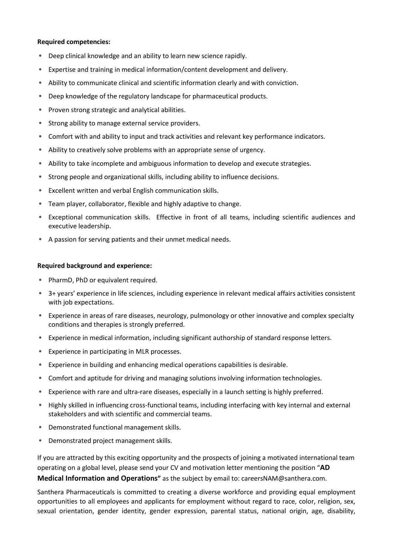#### **Required competencies:**

- Deep clinical knowledge and an ability to learn new science rapidly.
- Expertise and training in medical information/content development and delivery.
- Ability to communicate clinical and scientific information clearly and with conviction.
- Deep knowledge of the regulatory landscape for pharmaceutical products.
- Proven strong strategic and analytical abilities.
- Strong ability to manage external service providers.
- Comfort with and ability to input and track activities and relevant key performance indicators.
- Ability to creatively solve problems with an appropriate sense of urgency.
- Ability to take incomplete and ambiguous information to develop and execute strategies.
- Strong people and organizational skills, including ability to influence decisions.
- Excellent written and verbal English communication skills.
- Team player, collaborator, flexible and highly adaptive to change.
- Exceptional communication skills. Effective in front of all teams, including scientific audiences and executive leadership.
- A passion for serving patients and their unmet medical needs.

### **Required background and experience:**

- PharmD, PhD or equivalent required.
- 3+ years' experience in life sciences, including experience in relevant medical affairs activities consistent with job expectations.
- Experience in areas of rare diseases, neurology, pulmonology or other innovative and complex specialty conditions and therapies is strongly preferred.
- Experience in medical information, including significant authorship of standard response letters.
- Experience in participating in MLR processes.
- Experience in building and enhancing medical operations capabilities is desirable.
- Comfort and aptitude for driving and managing solutions involving information technologies.
- Experience with rare and ultra-rare diseases, especially in a launch setting is highly preferred.
- Highly skilled in influencing cross-functional teams, including interfacing with key internal and external stakeholders and with scientific and commercial teams.
- Demonstrated functional management skills.
- Demonstrated project management skills.

If you are attracted by this exciting opportunity and the prospects of joining a motivated international team operating on a global level, please send your CV and motivation letter mentioning the position "**AD Medical Information and Operations"** as the subject by email to: careersNAM@santhera.com.

Santhera Pharmaceuticals is committed to creating a diverse workforce and providing equal employment opportunities to all employees and applicants for employment without regard to race, color, religion, sex, sexual orientation, gender identity, gender expression, parental status, national origin, age, disability,